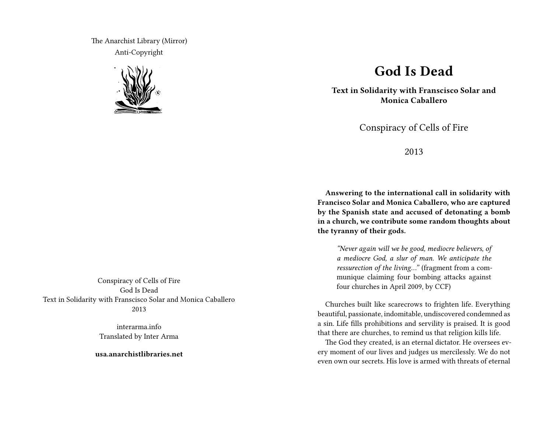The Anarchist Library (Mirror) Anti-Copyright



Conspiracy of Cells of Fire God Is Dead Text in Solidarity with Franscisco Solar and Monica Caballero 2013

> interarma.info Translated by Inter Arma

**usa.anarchistlibraries.net**

## **God Is Dead**

**Text in Solidarity with Franscisco Solar and Monica Caballero**

Conspiracy of Cells of Fire

2013

**Answering to the international call in solidarity with Francisco Solar and Monica Caballero, who are captured by the Spanish state and accused of detonating a bomb in a church, we contribute some random thoughts about the tyranny of their gods.**

*"Never again will we be good, mediocre believers, of a mediocre God, a slur of man. We anticipate the ressurection of the living…"* (fragment from a communique claiming four bombing attacks against four churches in April 2009, by CCF)

Churches built like scarecrows to frighten life. Everything beautiful, passionate, indomitable, undiscovered condemned as a sin. Life fills prohibitions and servility is praised. It is good that there are churches, to remind us that religion kills life.

The God they created, is an eternal dictator. He oversees every moment of our lives and judges us mercilessly. We do not even own our secrets. His love is armed with threats of eternal